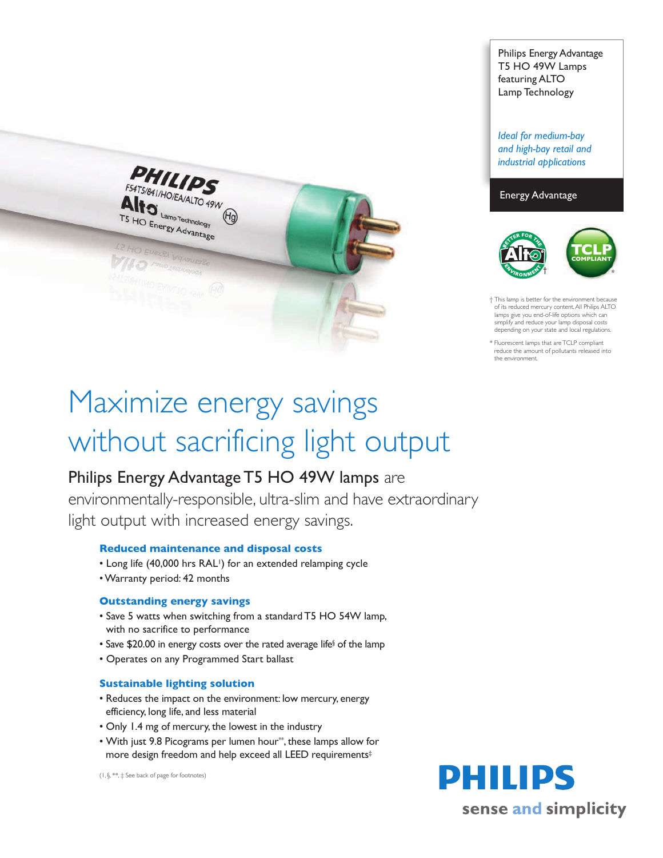

# Maximize energy savings without sacrificing light output

## Philips Energy Advantage T5 HO 49W lamps are

environmentally-responsible, ultra-slim and have extraordinary light output with increased energy savings.

#### **Reduced maintenance and disposal costs**

- Long life (40,000 hrs RAL<sup>1</sup>) for an extended relamping cycle
- •Warranty period: 42 months

#### **Outstanding energy savings**

- Save 5 watts when switching from a standard T5 HO 54W lamp, with no sacrifice to performance
- Save \$20.00 in energy costs over the rated average life§ of the lamp
- Operates on any Programmed Start ballast

#### **Sustainable lighting solution**

- Reduces the impact on the environment: low mercury, energy efficiency, long life, and less material
- Only 1.4 mg of mercury, the lowest in the industry
- With just 9.8 Picograms per lumen hour\*\*, these lamps allow for more design freedom and help exceed all LEED requirements‡

(1, §, \*\*, ‡ See back of page for footnotes)

Philips Energy Advantage T5 HO 49W Lamps featuring ALTO Lamp Technology

*Ideal for medium-bay and high-bay retail and industrial applications*

#### Energy Advantage



 $\dagger$  This lamp is better for the environment beca of its reduced mercury content.All Philips ALTO lamps give you end-of-life options which can simplify and reduce your lamp disposal costs depending on your state and local regulations.

\* Fluorescent lamps that are TCLP compliant reduce the amount of pollutants released into the environment.